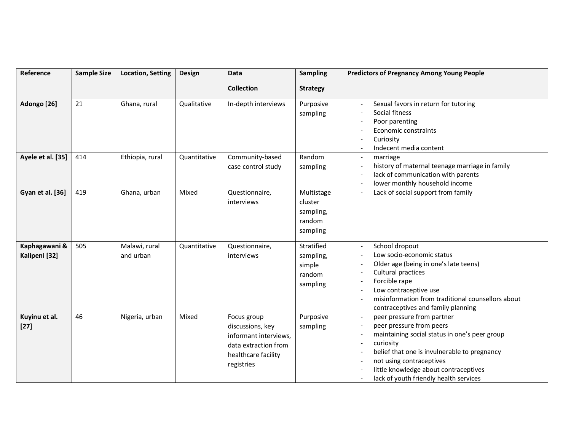| Reference                      | <b>Sample Size</b> | <b>Location, Setting</b>   | Design       | Data                                                                                                                  | <b>Sampling</b>                                          | <b>Predictors of Pregnancy Among Young People</b>                                                                                                                                                                                                                                                                                                                                                   |
|--------------------------------|--------------------|----------------------------|--------------|-----------------------------------------------------------------------------------------------------------------------|----------------------------------------------------------|-----------------------------------------------------------------------------------------------------------------------------------------------------------------------------------------------------------------------------------------------------------------------------------------------------------------------------------------------------------------------------------------------------|
|                                |                    |                            |              | <b>Collection</b>                                                                                                     | <b>Strategy</b>                                          |                                                                                                                                                                                                                                                                                                                                                                                                     |
| Adongo <sup>[26]</sup>         | 21                 | Ghana, rural               | Qualitative  | In-depth interviews                                                                                                   | Purposive<br>sampling                                    | Sexual favors in return for tutoring<br>$\overline{\phantom{a}}$<br>Social fitness<br>Poor parenting<br>Economic constraints<br>Curiosity<br>Indecent media content<br>$\overline{\phantom{a}}$                                                                                                                                                                                                     |
| Ayele et al. [35]              | 414                | Ethiopia, rural            | Quantitative | Community-based<br>case control study                                                                                 | Random<br>sampling                                       | marriage<br>$\overline{\phantom{a}}$<br>history of maternal teenage marriage in family<br>$\overline{\phantom{a}}$<br>lack of communication with parents<br>$\overline{\phantom{a}}$<br>lower monthly household income<br>$\sim$                                                                                                                                                                    |
| <b>Gyan et al. [36]</b>        | 419                | Ghana, urban               | Mixed        | Questionnaire,<br>interviews                                                                                          | Multistage<br>cluster<br>sampling,<br>random<br>sampling | Lack of social support from family<br>$\overline{\phantom{a}}$                                                                                                                                                                                                                                                                                                                                      |
| Kaphagawani &<br>Kalipeni [32] | 505                | Malawi, rural<br>and urban | Quantitative | Questionnaire,<br>interviews                                                                                          | Stratified<br>sampling,<br>simple<br>random<br>sampling  | School dropout<br>$\overline{\phantom{a}}$<br>Low socio-economic status<br>Older age (being in one's late teens)<br>Cultural practices<br>Forcible rape<br>Low contraceptive use<br>$\overline{\phantom{a}}$<br>misinformation from traditional counsellors about<br>contraceptives and family planning                                                                                             |
| Kuyinu et al.<br>$[27]$        | 46                 | Nigeria, urban             | Mixed        | Focus group<br>discussions, key<br>informant interviews,<br>data extraction from<br>healthcare facility<br>registries | Purposive<br>sampling                                    | peer pressure from partner<br>$\overline{\phantom{a}}$<br>peer pressure from peers<br>$\overline{\phantom{a}}$<br>maintaining social status in one's peer group<br>$\overline{\phantom{a}}$<br>curiosity<br>$\overline{\phantom{a}}$<br>belief that one is invulnerable to pregnancy<br>not using contraceptives<br>little knowledge about contraceptives<br>lack of youth friendly health services |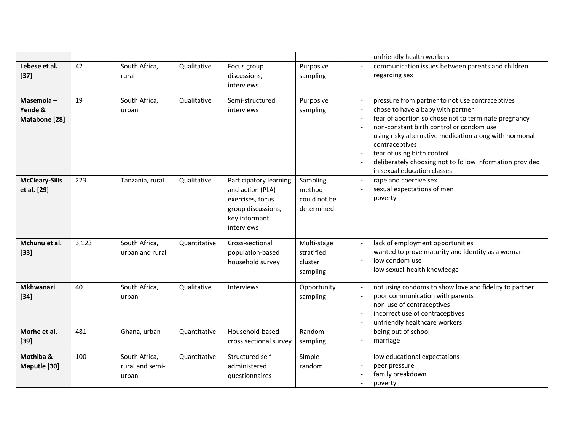|                                       |       |                                           |              |                                                                                                                     |                                                  | unfriendly health workers<br>$\overline{\phantom{a}}$                                                                                                                                                                                                                                                                                                                                                                                                                              |
|---------------------------------------|-------|-------------------------------------------|--------------|---------------------------------------------------------------------------------------------------------------------|--------------------------------------------------|------------------------------------------------------------------------------------------------------------------------------------------------------------------------------------------------------------------------------------------------------------------------------------------------------------------------------------------------------------------------------------------------------------------------------------------------------------------------------------|
| Lebese et al.<br>$[37]$               | 42    | South Africa,<br>rural                    | Qualitative  | Focus group<br>discussions,<br>interviews                                                                           | Purposive<br>sampling                            | communication issues between parents and children<br>regarding sex                                                                                                                                                                                                                                                                                                                                                                                                                 |
| Masemola-<br>Yende &<br>Matabone [28] | 19    | South Africa,<br>urban                    | Qualitative  | Semi-structured<br>interviews                                                                                       | Purposive<br>sampling                            | pressure from partner to not use contraceptives<br>$\overline{\phantom{a}}$<br>chose to have a baby with partner<br>fear of abortion so chose not to terminate pregnancy<br>non-constant birth control or condom use<br>using risky alternative medication along with hormonal<br>contraceptives<br>fear of using birth control<br>$\overline{\phantom{a}}$<br>deliberately choosing not to follow information provided<br>$\overline{\phantom{a}}$<br>in sexual education classes |
| <b>McCleary-Sills</b><br>et al. [29]  | 223   | Tanzania, rural                           | Qualitative  | Participatory learning<br>and action (PLA)<br>exercises, focus<br>group discussions,<br>key informant<br>interviews | Sampling<br>method<br>could not be<br>determined | rape and coercive sex<br>$\sim$<br>sexual expectations of men<br>poverty                                                                                                                                                                                                                                                                                                                                                                                                           |
| Mchunu et al.<br>$[33]$               | 3,123 | South Africa,<br>urban and rural          | Quantitative | Cross-sectional<br>population-based<br>household survey                                                             | Multi-stage<br>stratified<br>cluster<br>sampling | lack of employment opportunities<br>$\overline{\phantom{a}}$<br>wanted to prove maturity and identity as a woman<br>$\overline{\phantom{a}}$<br>low condom use<br>low sexual-health knowledge                                                                                                                                                                                                                                                                                      |
| Mkhwanazi<br>$[34]$                   | 40    | South Africa,<br>urban                    | Qualitative  | Interviews                                                                                                          | Opportunity<br>sampling                          | not using condoms to show love and fidelity to partner<br>$\overline{\phantom{a}}$<br>poor communication with parents<br>$\overline{\phantom{a}}$<br>non-use of contraceptives<br>$\overline{\phantom{a}}$<br>incorrect use of contraceptives<br>$\overline{\phantom{a}}$<br>unfriendly healthcare workers<br>$\overline{\phantom{a}}$                                                                                                                                             |
| Morhe et al.<br>$[39]$                | 481   | Ghana, urban                              | Quantitative | Household-based<br>cross sectional survey                                                                           | Random<br>sampling                               | being out of school<br>$\blacksquare$<br>marriage<br>$\overline{a}$                                                                                                                                                                                                                                                                                                                                                                                                                |
| Mothiba &<br>Maputle [30]             | 100   | South Africa,<br>rural and semi-<br>urban | Quantitative | Structured self-<br>administered<br>questionnaires                                                                  | Simple<br>random                                 | low educational expectations<br>$\overline{\phantom{a}}$<br>peer pressure<br>$\overline{\phantom{a}}$<br>family breakdown<br>poverty                                                                                                                                                                                                                                                                                                                                               |